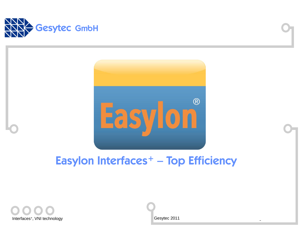



# Easylon Interfaces<sup>+</sup> – Top Efficiency

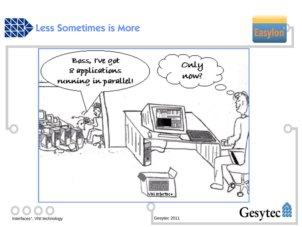



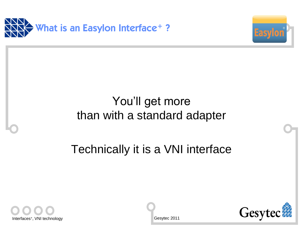



# You'll get more than with a standard adapter

Technically it is a VNI interface



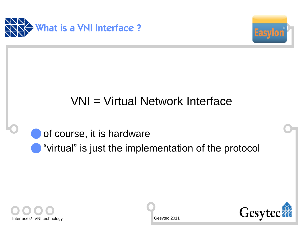



# VNI = Virtual Network Interface

# of course, it is hardware "virtual" is just the implementation of the protocol



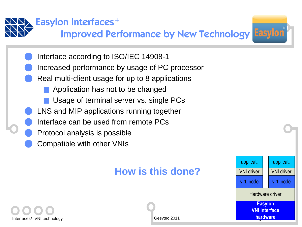

## Easylon Interfaces<sup>+</sup>

Improved Performance by New Technology Easylon



- Increased performance by usage of PC processor
- Real multi-client usage for up to 8 applications
	- Application has not to be changed
	- Usage of terminal server vs. single PCs
- LNS and MIP applications running together
- Interface can be used from remote PCs
- Protocol analysis is possible
- Compatible with other VNIs

## **How is this done?**



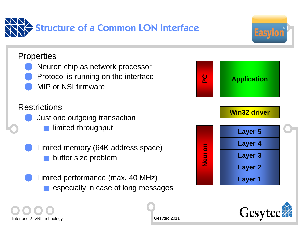



#### **Properties**

- Neuron chip as network processor
- Protocol is running on the interface
- MIP or NSI firmware

### **Restrictions**

- l Just one outgoing transaction limited throughput
- Limited memory (64K address space) buffer size problem
- Limited performance (max. 40 MHz) especially in case of long messages





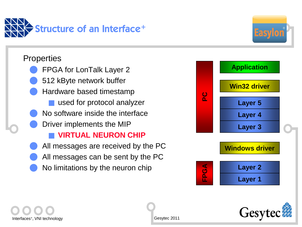

#### **Properties**

- FPGA for LonTalk Layer 2
- 512 kByte network buffer
- l Hardware based timestamp
	- used for protocol analyzer
- No software inside the interface
- Driver implements the MIP

### n **VIRTUAL NEURON CHIP**

- All messages are received by the PC
- All messages can be sent by the PC
- No limitations by the neuron chip



**Easyl** 



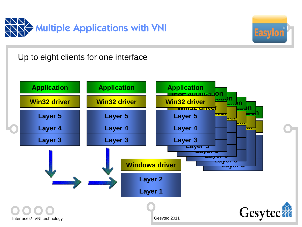



Up to eight clients for one interface

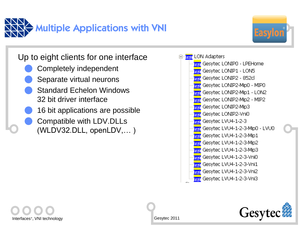



### Up to eight clients for one interface

- Completely independent
- Separate virtual neurons
- **Standard Echelon Windows** 32 bit driver interface
- 16 bit applications are possible
- Compatible with LDV.DLLs (WLDV32.DLL, openLDV,… )





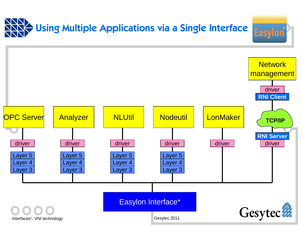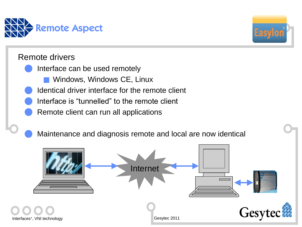

#### Remote drivers

- Interface can be used remotely
	- Windows, Windows CE, Linux
- Identical driver interface for the remote client
- Interface is "tunnelled" to the remote client
- Remote client can run all applications

Maintenance and diagnosis remote and local are now identical



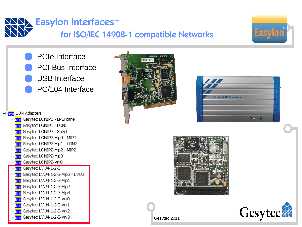



PCIe Interface **PCI Bus Interface** USB Interface PC/104 Interface













- Gesytec LVU4-1-2-3-Vni1 asır
- Gesytec LVU4-1-2-3-Vni2 asır

**E**<sub>ral</sub> LON Adapters

asıl

**Inside Contract Contract Contract Contract Contract Contract Contract Contract Contract Contract Contract Contr**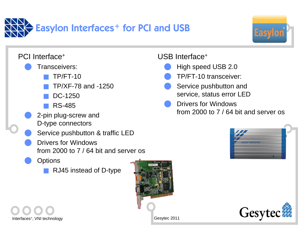



PCI Interface<sup>+</sup> Transceivers:  $TP/FT-10$ n TP/XF-78 and -1250 DC-1250 n RS-485 2-pin plug-screw and D-type connectors Service pushbutton & traffic LED Drivers for Windows from 2000 to 7 / 64 bit and server os **Options** RJ45 instead of D-type

#### USB Interface<sup>+</sup>

- High speed USB 2.0
- l TP/FT-10 transceiver:
- Service pushbutton and service, status error LED
- Drivers for Windows from 2000 to 7 / 64 bit and server os





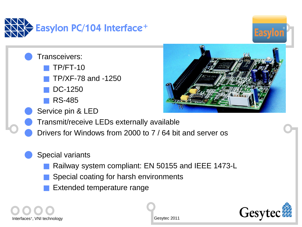



Transceivers:

 $TP/FT-10$ 

n TP/XF-78 and -1250

DC-1250

n RS-485

Service pin & LED



Drivers for Windows from 2000 to 7 / 64 bit and server os

### Special variants

- Railway system compliant: EN 50155 and IEEE 1473-L
- Special coating for harsh environments
- Extended temperature range